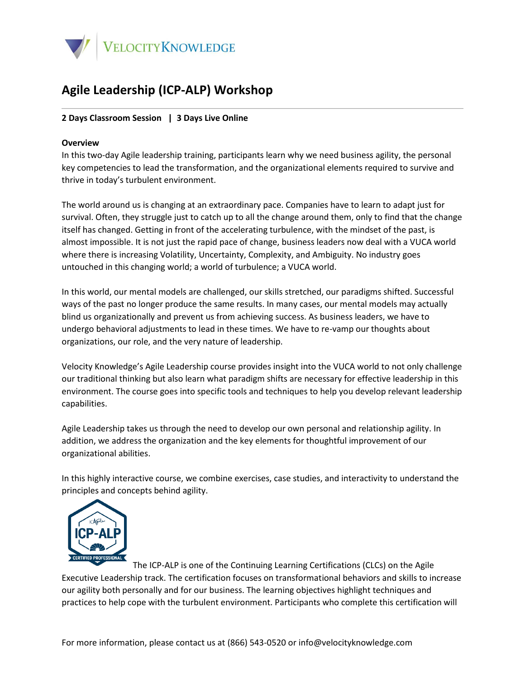

## **Agile Leadership (ICP-ALP) Workshop**

## **2 Days Classroom Session | 3 Days Live Online**

## **Overview**

In this two-day Agile leadership training, participants learn why we need business agility, the personal key competencies to lead the transformation, and the organizational elements required to survive and thrive in today's turbulent environment.

The world around us is changing at an extraordinary pace. Companies have to learn to adapt just for survival. Often, they struggle just to catch up to all the change around them, only to find that the change itself has changed. Getting in front of the accelerating turbulence, with the mindset of the past, is almost impossible. It is not just the rapid pace of change, business leaders now deal with a VUCA world where there is increasing Volatility, Uncertainty, Complexity, and Ambiguity. No industry goes untouched in this changing world; a world of turbulence; a VUCA world.

In this world, our mental models are challenged, our skills stretched, our paradigms shifted. Successful ways of the past no longer produce the same results. In many cases, our mental models may actually blind us organizationally and prevent us from achieving success. As business leaders, we have to undergo behavioral adjustments to lead in these times. We have to re-vamp our thoughts about organizations, our role, and the very nature of leadership.

Velocity Knowledge's Agile Leadership course provides insight into the VUCA world to not only challenge our traditional thinking but also learn what paradigm shifts are necessary for effective leadership in this environment. The course goes into specific tools and techniques to help you develop relevant leadership capabilities.

Agile Leadership takes us through the need to develop our own personal and relationship agility. In addition, we address the organization and the key elements for thoughtful improvement of our organizational abilities.

In this highly interactive course, we combine exercises, case studies, and interactivity to understand the principles and concepts behind agility.



The ICP-ALP is one of the Continuing Learning Certifications (CLCs) on the Agile Executive Leadership track. The certification focuses on transformational behaviors and skills to increase our agility both personally and for our business. The learning objectives highlight techniques and practices to help cope with the turbulent environment. Participants who complete this certification will